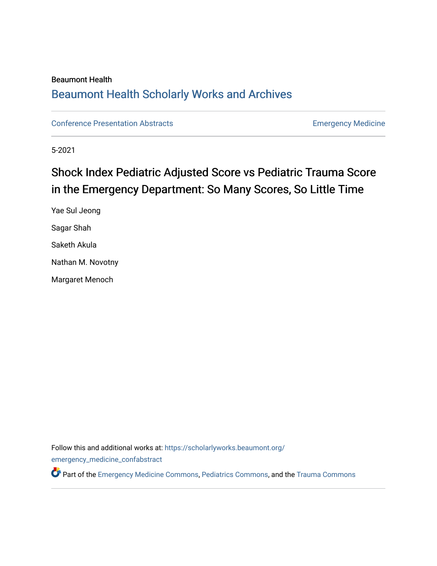# Beaumont Health [Beaumont Health Scholarly Works and Archives](https://scholarlyworks.beaumont.org/)

[Conference Presentation Abstracts](https://scholarlyworks.beaumont.org/emergency_medicine_confabstract) **Emergency Medicine** 

5-2021

# Shock Index Pediatric Adjusted Score vs Pediatric Trauma Score in the Emergency Department: So Many Scores, So Little Time

Yae Sul Jeong Sagar Shah Saketh Akula Nathan M. Novotny Margaret Menoch

Follow this and additional works at: [https://scholarlyworks.beaumont.org/](https://scholarlyworks.beaumont.org/emergency_medicine_confabstract?utm_source=scholarlyworks.beaumont.org%2Femergency_medicine_confabstract%2F42&utm_medium=PDF&utm_campaign=PDFCoverPages)

[emergency\\_medicine\\_confabstract](https://scholarlyworks.beaumont.org/emergency_medicine_confabstract?utm_source=scholarlyworks.beaumont.org%2Femergency_medicine_confabstract%2F42&utm_medium=PDF&utm_campaign=PDFCoverPages)

Part of the [Emergency Medicine Commons](https://network.bepress.com/hgg/discipline/685?utm_source=scholarlyworks.beaumont.org%2Femergency_medicine_confabstract%2F42&utm_medium=PDF&utm_campaign=PDFCoverPages), [Pediatrics Commons,](https://network.bepress.com/hgg/discipline/700?utm_source=scholarlyworks.beaumont.org%2Femergency_medicine_confabstract%2F42&utm_medium=PDF&utm_campaign=PDFCoverPages) and the [Trauma Commons](https://network.bepress.com/hgg/discipline/1240?utm_source=scholarlyworks.beaumont.org%2Femergency_medicine_confabstract%2F42&utm_medium=PDF&utm_campaign=PDFCoverPages)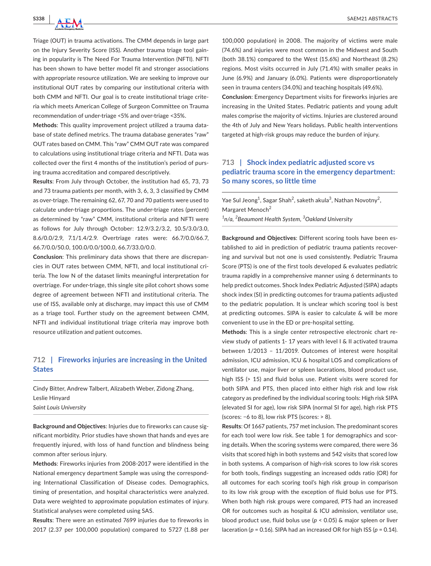Triage (OUT) in trauma activations. The CMM depends in large part on the Injury Severity Score (ISS). Another trauma triage tool gaining in popularity is The Need For Trauma Intervention (NFTI). NFTI has been shown to have better model fit and stronger associations with appropriate resource utilization. We are seeking to improve our institutional OUT rates by comparing our institutional criteria with both CMM and NFTI. Our goal is to create institutional triage criteria which meets American College of Surgeon Committee on Trauma recommendation of under-triage <5% and over-triage <35%.

**Methods**: This quality improvement project utilized a trauma database of state defined metrics. The trauma database generates "raw" OUT rates based on CMM. This "raw" CMM OUT rate was compared to calculations using institutional triage criteria and NFTI. Data was collected over the first 4 months of the institution's period of pursing trauma accreditation and compared descriptively.

**Results**: From July through October, the institution had 65, 73, 73 and 73 trauma patients per month, with 3, 6, 3, 3 classified by CMM as over-triage. The remaining 62, 67, 70 and 70 patients were used to calculate under-triage proportions. The under-triage rates (percent) as determined by "raw" CMM, institutional criteria and NFTI were as follows for July through October: 12.9/3.2/3.2, 10.5/3.0/3.0, 8.6/0.0/2.9, 7.1/1.4/2.9. Overtriage rates were: 66.7/0.0/66.7, 66.7/0.0/50.0, 100.0/0.0/100.0, 66.7/33.0/0.0.

**Conclusion**: This preliminary data shows that there are discrepancies in OUT rates between CMM, NFTI, and local institutional criteria. The low N of the dataset limits meaningful interpretation for overtriage. For under-triage, this single site pilot cohort shows some degree of agreement between NFTI and institutional criteria. The use of ISS, available only at discharge, may impact this use of CMM as a triage tool. Further study on the agreement between CMM, NFTI and individual institutional triage criteria may improve both resource utilization and patient outcomes.

#### **712 | Fireworks injuries are increasing in the United States**

Cindy Bitter, Andrew Talbert, Alizabeth Weber, Zidong Zhang, Leslie Hinyard *Saint Louis University*

**Background and Objectives**: Injuries due to fireworks can cause significant morbidity. Prior studies have shown that hands and eyes are frequently injured, with loss of hand function and blindness being common after serious injury.

**Methods**: Fireworks injuries from 2008-2017 were identified in the National emergency department Sample was using the corresponding International Classification of Disease codes. Demographics, timing of presentation, and hospital characteristics were analyzed. Data were weighted to approximate population estimates of injury. Statistical analyses were completed using SAS.

**Results**: There were an estimated 7699 injuries due to fireworks in 2017 (2.37 per 100,000 population) compared to 5727 (1.88 per

100,000 population) in 2008. The majority of victims were male (74.6%) and injuries were most common in the Midwest and South (both 38.1%) compared to the West (15.6%) and Northeast (8.2%) regions. Most visits occurred in July (71.4%) with smaller peaks in June (6.9%) and January (6.0%). Patients were disproportionately seen in trauma centers (34.0%) and teaching hospitals (49.6%).

**Conclusion**: Emergency Department visits for fireworks injuries are increasing in the United States. Pediatric patients and young adult males comprise the majority of victims. Injuries are clustered around the 4th of July and New Years holidays. Public health interventions targeted at high-risk groups may reduce the burden of injury.

#### **713 | Shock index pediatric adjusted score vs pediatric trauma score in the emergency department: So many scores, so little time**

Yae Sul Jeong<sup>1</sup>, Sagar Shah<sup>2</sup>, saketh akula<sup>3</sup>, Nathan Novotny<sup>2</sup>, Margaret Menoch<sup>2</sup> *1 n/a, 2 Beaumont Health System, <sup>3</sup> Oakland University*

**Background and Objectives**: Different scoring tools have been established to aid in prediction of pediatric trauma patients recovering and survival but not one is used consistently. Pediatric Trauma Score (PTS) is one of the first tools developed & evaluates pediatric trauma rapidly in a comprehensive manner using 6 determinants to help predict outcomes. Shock Index Pediatric Adjusted (SIPA) adapts shock index (SI) in predicting outcomes for trauma patients adjusted to the pediatric population. It is unclear which scoring tool is best at predicting outcomes. SIPA is easier to calculate & will be more convenient to use in the ED or pre-hospital setting.

**Methods**: This is a single center retrospective electronic chart review study of patients 1- 17 years with level I & II activated trauma between 1/2013 – 11/2019. Outcomes of interest were hospital admission, ICU admission, ICU & hospital LOS and complications of ventilator use, major liver or spleen lacerations, blood product use, high ISS (> 15) and fluid bolus use. Patient visits were scored for both SIPA and PTS, then placed into either high risk and low risk category as predefined by the individual scoring tools: High risk SIPA (elevated SI for age), low risk SIPA (normal SI for age), high risk PTS (scores: −6 to 8), low risk PTS (scores: > 8).

**Results**: Of 1667 patients, 757 met inclusion. The predominant scores for each tool were low risk. See table 1 for demographics and scoring details. When the scoring systems were compared, there were 36 visits that scored high in both systems and 542 visits that scored low in both systems. A comparison of high-risk scores to low risk scores for both tools, findings suggesting an increased odds ratio (OR) for all outcomes for each scoring tool's high risk group in comparison to its low risk group with the exception of fluid bolus use for PTS. When both high risk groups were compared, PTS had an increased OR for outcomes such as hospital & ICU admission, ventilator use, blood product use, fluid bolus use (*p* < 0.05) & major spleen or liver laceration (*p* = 0.16). SIPA had an increased OR for high ISS (*p* = 0.14).